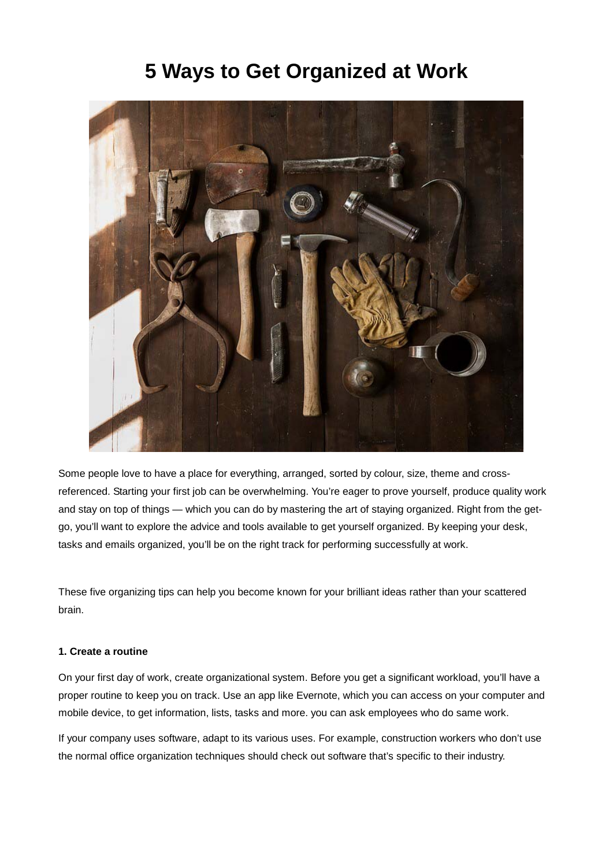# **5 Ways to Get Organized at Work**



Some people love to have a place for everything, arranged, sorted by colour, size, theme and crossreferenced. Starting your first job can be overwhelming. You're eager to prove yourself, produce quality work and stay on top of things — which you can do by mastering the art of staying organized. Right from the getgo, you'll want to explore the advice and tools available to get yourself organized. By keeping your desk, tasks and emails organized, you'll be on the right track for performing successfully at work.

These five organizing tips can help you become known for your brilliant ideas rather than your scattered brain.

#### **1. Create a routine**

On your first day of work, create organizational system. Before you get a significant workload, you'll have a proper routine to keep you on track. Use an app like Evernote, which you can access on your computer and mobile device, to get information, lists, tasks and more. you can ask employees who do same work.

If your company uses software, adapt to its various uses. For example, construction workers who don't use the normal office organization techniques should check out software that's specific to their industry.